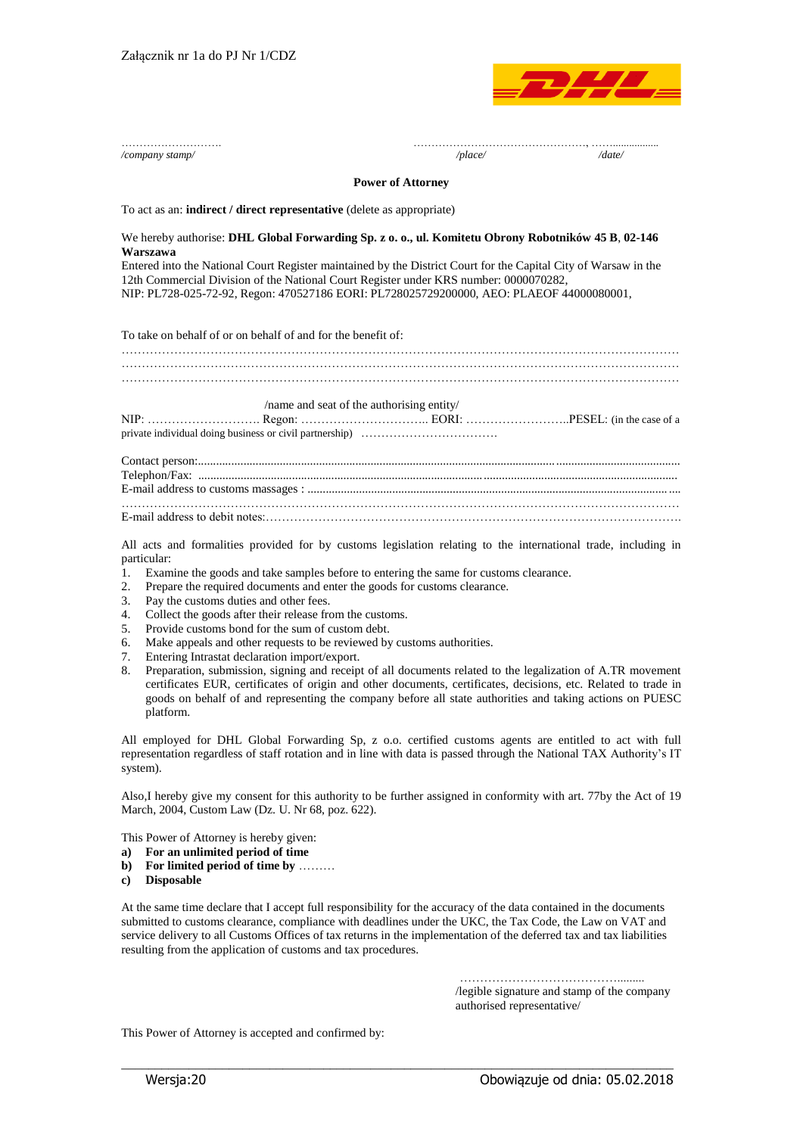

|                                              | /place/<br>/date/<br>/company stamp/                                                                                                                                                                                                                                                                                                                                                                                                                                                                                                                                                                                                                                                                                                                                                                                                                                                                                                              |
|----------------------------------------------|---------------------------------------------------------------------------------------------------------------------------------------------------------------------------------------------------------------------------------------------------------------------------------------------------------------------------------------------------------------------------------------------------------------------------------------------------------------------------------------------------------------------------------------------------------------------------------------------------------------------------------------------------------------------------------------------------------------------------------------------------------------------------------------------------------------------------------------------------------------------------------------------------------------------------------------------------|
|                                              | <b>Power of Attorney</b>                                                                                                                                                                                                                                                                                                                                                                                                                                                                                                                                                                                                                                                                                                                                                                                                                                                                                                                          |
|                                              | To act as an: indirect / direct representative (delete as appropriate)                                                                                                                                                                                                                                                                                                                                                                                                                                                                                                                                                                                                                                                                                                                                                                                                                                                                            |
|                                              | We hereby authorise: DHL Global Forwarding Sp. z o. o., ul. Komitetu Obrony Robotników 45 B, 02-146<br>Warszawa<br>Entered into the National Court Register maintained by the District Court for the Capital City of Warsaw in the<br>12th Commercial Division of the National Court Register under KRS number: 0000070282,<br>NIP: PL728-025-72-92, Regon: 470527186 EORI: PL728025729200000, AEO: PLAEOF 44000080001,                                                                                                                                                                                                                                                                                                                                                                                                                                                                                                                           |
|                                              | To take on behalf of or on behalf of and for the benefit of:                                                                                                                                                                                                                                                                                                                                                                                                                                                                                                                                                                                                                                                                                                                                                                                                                                                                                      |
|                                              |                                                                                                                                                                                                                                                                                                                                                                                                                                                                                                                                                                                                                                                                                                                                                                                                                                                                                                                                                   |
|                                              | /name and seat of the authorising entity/                                                                                                                                                                                                                                                                                                                                                                                                                                                                                                                                                                                                                                                                                                                                                                                                                                                                                                         |
|                                              |                                                                                                                                                                                                                                                                                                                                                                                                                                                                                                                                                                                                                                                                                                                                                                                                                                                                                                                                                   |
|                                              |                                                                                                                                                                                                                                                                                                                                                                                                                                                                                                                                                                                                                                                                                                                                                                                                                                                                                                                                                   |
| 1.<br>2.<br>3.<br>4.<br>5.<br>6.<br>7.<br>8. | All acts and formalities provided for by customs legislation relating to the international trade, including in<br>particular:<br>Examine the goods and take samples before to entering the same for customs clearance.<br>Prepare the required documents and enter the goods for customs clearance.<br>Pay the customs duties and other fees.<br>Collect the goods after their release from the customs.<br>Provide customs bond for the sum of custom debt.<br>Make appeals and other requests to be reviewed by customs authorities.<br>Entering Intrastat declaration import/export.<br>Preparation, submission, signing and receipt of all documents related to the legalization of A.TR movement<br>certificates EUR, certificates of origin and other documents, certificates, decisions, etc. Related to trade in<br>goods on behalf of and representing the company before all state authorities and taking actions on PUESC<br>platform. |
|                                              | All employed for DHL Global Forwarding Sp, z o.o. certified customs agents are entitled to act with full<br>representation regardless of staff rotation and in line with data is passed through the National TAX Authority's IT<br>system).                                                                                                                                                                                                                                                                                                                                                                                                                                                                                                                                                                                                                                                                                                       |
|                                              | Also, I hereby give my consent for this authority to be further assigned in conformity with art. 77by the Act of 19<br>March, 2004, Custom Law (Dz. U. Nr 68, poz. 622).                                                                                                                                                                                                                                                                                                                                                                                                                                                                                                                                                                                                                                                                                                                                                                          |
| a)<br>b)                                     | This Power of Attorney is hereby given:<br>For an unlimited period of time<br>For limited period of time by                                                                                                                                                                                                                                                                                                                                                                                                                                                                                                                                                                                                                                                                                                                                                                                                                                       |

**c) Disposable**

At the same time declare that I accept full responsibility for the accuracy of the data contained in the documents submitted to customs clearance, compliance with deadlines under the UKC, the Tax Code, the Law on VAT and service delivery to all Customs Offices of tax returns in the implementation of the deferred tax and tax liabilities resulting from the application of customs and tax procedures.

\_\_\_\_\_\_\_\_\_\_\_\_\_\_\_\_\_\_\_\_\_\_\_\_\_\_\_\_\_\_\_\_\_\_\_\_\_\_\_\_\_\_\_\_\_\_\_\_\_\_\_\_\_\_\_\_\_\_\_\_\_\_\_\_\_\_\_\_\_\_\_\_\_\_\_\_\_\_\_\_\_\_

 …………………………………......... /legible signature and stamp of the company authorised representative/

This Power of Attorney is accepted and confirmed by: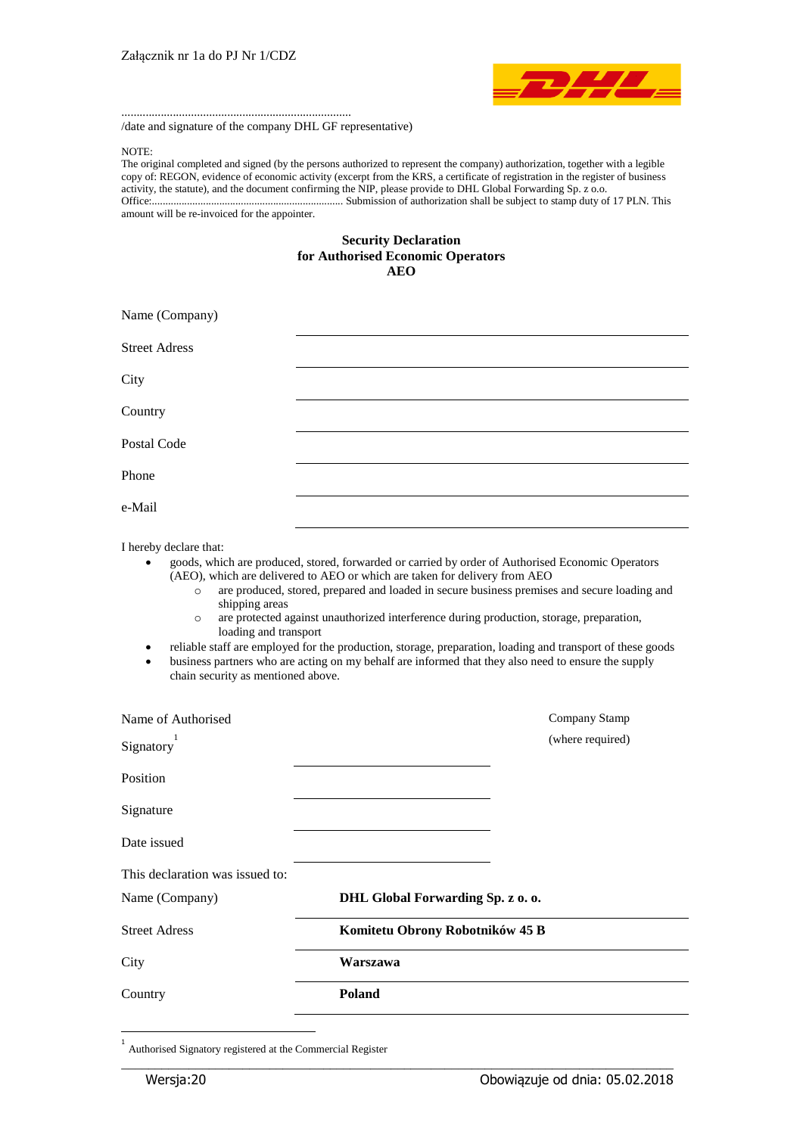

/date and signature of the company DHL GF representative)

............................................................................

NOTE:

The original completed and signed (by the persons authorized to represent the company) authorization, together with a legible copy of: REGON, evidence of economic activity (excerpt from the KRS, a certificate of registration in the register of business activity, the statute), and the document confirming the NIP, please provide to DHL Global Forwarding Sp. z o.o. Office:....................................................................... Submission of authorization shall be subject to stamp duty of 17 PLN. This amount will be re-invoiced for the appointer.

## **Security Declaration for Authorised Economic Operators AEO**

| Name (Company)       |  |
|----------------------|--|
| <b>Street Adress</b> |  |
| City                 |  |
| Country              |  |
| Postal Code          |  |
| Phone                |  |
| e-Mail               |  |
|                      |  |

I hereby declare that:

 goods, which are produced, stored, forwarded or carried by order of Authorised Economic Operators (AEO), which are delivered to AEO or which are taken for delivery from AEO

- o are produced, stored, prepared and loaded in secure business premises and secure loading and shipping areas
- o are protected against unauthorized interference during production, storage, preparation, loading and transport
- reliable staff are employed for the production, storage, preparation, loading and transport of these goods
- business partners who are acting on my behalf are informed that they also need to ensure the supply chain security as mentioned above.

| Name of Authorised              | Company Stamp                     |
|---------------------------------|-----------------------------------|
| Signatory                       | (where required)                  |
| Position                        |                                   |
| Signature                       |                                   |
| Date issued                     |                                   |
| This declaration was issued to: |                                   |
| Name (Company)                  | DHL Global Forwarding Sp. z o. o. |
| <b>Street Adress</b>            | Komitetu Obrony Robotników 45 B   |
| City                            | Warszawa                          |
| Country                         | <b>Poland</b>                     |
|                                 |                                   |

\_\_\_\_\_\_\_\_\_\_\_\_\_\_\_\_\_\_\_\_\_\_\_\_\_\_\_\_\_\_\_\_\_\_\_\_\_\_\_\_\_\_\_\_\_\_\_\_\_\_\_\_\_\_\_\_\_\_\_\_\_\_\_\_\_\_\_\_\_\_\_\_\_\_\_\_\_\_\_\_\_\_

Authorised Signatory registered at the Commercial Register

-1